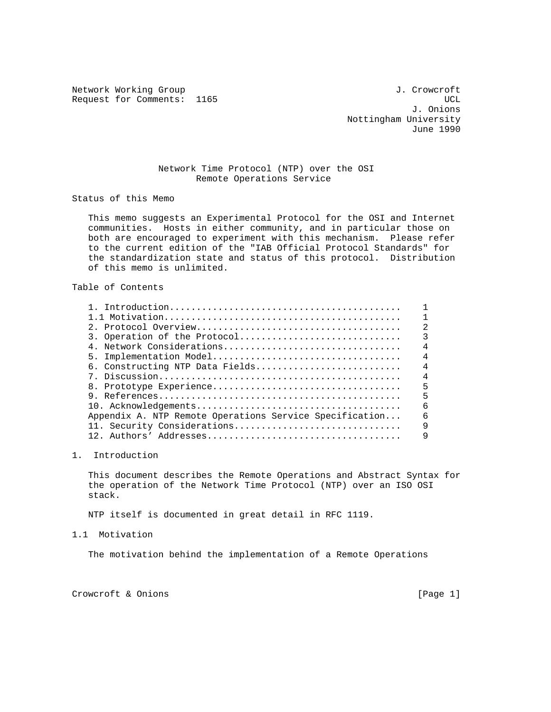Network Working Group 3. Communications of the United States of the United States of the United States of the U Request for Comments: 1165 UCL

 J. Onions Nottingham University June 1990

## Network Time Protocol (NTP) over the OSI Remote Operations Service

Status of this Memo

 This memo suggests an Experimental Protocol for the OSI and Internet communities. Hosts in either community, and in particular those on both are encouraged to experiment with this mechanism. Please refer to the current edition of the "IAB Official Protocol Standards" for the standardization state and status of this protocol. Distribution of this memo is unlimited.

## Table of Contents

|                                                         | $\mathfrak{D}$ |
|---------------------------------------------------------|----------------|
| 3. Operation of the Protocol                            | 3              |
| 4. Network Considerations                               | $\overline{4}$ |
| 5. Implementation Model                                 | $\overline{4}$ |
| 6. Constructing NTP Data Fields                         | $\overline{4}$ |
|                                                         | $\overline{4}$ |
|                                                         | 5              |
|                                                         | 5              |
|                                                         | 6              |
| Appendix A. NTP Remote Operations Service Specification | 6              |
| 11. Security Considerations                             | 9              |
|                                                         | 9              |
|                                                         |                |

## 1. Introduction

 This document describes the Remote Operations and Abstract Syntax for the operation of the Network Time Protocol (NTP) over an ISO OSI stack.

NTP itself is documented in great detail in RFC 1119.

## 1.1 Motivation

The motivation behind the implementation of a Remote Operations

Crowcroft & Onions [Page 1]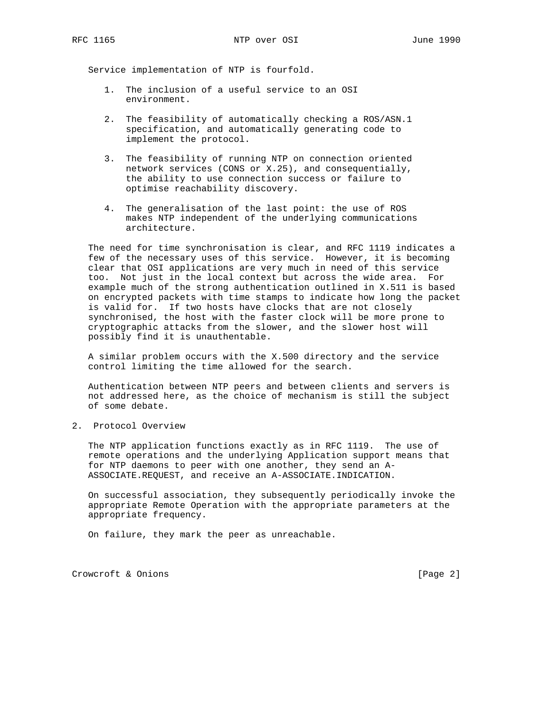Service implementation of NTP is fourfold.

- 1. The inclusion of a useful service to an OSI environment.
- 2. The feasibility of automatically checking a ROS/ASN.1 specification, and automatically generating code to implement the protocol.
- 3. The feasibility of running NTP on connection oriented network services (CONS or X.25), and consequentially, the ability to use connection success or failure to optimise reachability discovery.
- 4. The generalisation of the last point: the use of ROS makes NTP independent of the underlying communications architecture.

 The need for time synchronisation is clear, and RFC 1119 indicates a few of the necessary uses of this service. However, it is becoming clear that OSI applications are very much in need of this service too. Not just in the local context but across the wide area. For example much of the strong authentication outlined in X.511 is based on encrypted packets with time stamps to indicate how long the packet is valid for. If two hosts have clocks that are not closely synchronised, the host with the faster clock will be more prone to cryptographic attacks from the slower, and the slower host will possibly find it is unauthentable.

 A similar problem occurs with the X.500 directory and the service control limiting the time allowed for the search.

 Authentication between NTP peers and between clients and servers is not addressed here, as the choice of mechanism is still the subject of some debate.

2. Protocol Overview

 The NTP application functions exactly as in RFC 1119. The use of remote operations and the underlying Application support means that for NTP daemons to peer with one another, they send an A- ASSOCIATE.REQUEST, and receive an A-ASSOCIATE.INDICATION.

 On successful association, they subsequently periodically invoke the appropriate Remote Operation with the appropriate parameters at the appropriate frequency.

On failure, they mark the peer as unreachable.

Crowcroft & Onions [Page 2]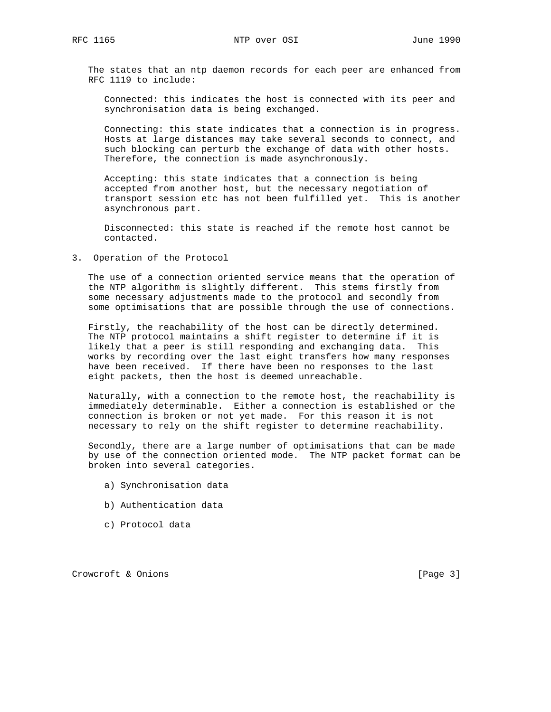The states that an ntp daemon records for each peer are enhanced from RFC 1119 to include:

 Connected: this indicates the host is connected with its peer and synchronisation data is being exchanged.

 Connecting: this state indicates that a connection is in progress. Hosts at large distances may take several seconds to connect, and such blocking can perturb the exchange of data with other hosts. Therefore, the connection is made asynchronously.

 Accepting: this state indicates that a connection is being accepted from another host, but the necessary negotiation of transport session etc has not been fulfilled yet. This is another asynchronous part.

 Disconnected: this state is reached if the remote host cannot be contacted.

3. Operation of the Protocol

 The use of a connection oriented service means that the operation of the NTP algorithm is slightly different. This stems firstly from some necessary adjustments made to the protocol and secondly from some optimisations that are possible through the use of connections.

 Firstly, the reachability of the host can be directly determined. The NTP protocol maintains a shift register to determine if it is likely that a peer is still responding and exchanging data. This works by recording over the last eight transfers how many responses have been received. If there have been no responses to the last eight packets, then the host is deemed unreachable.

 Naturally, with a connection to the remote host, the reachability is immediately determinable. Either a connection is established or the connection is broken or not yet made. For this reason it is not necessary to rely on the shift register to determine reachability.

 Secondly, there are a large number of optimisations that can be made by use of the connection oriented mode. The NTP packet format can be broken into several categories.

- a) Synchronisation data
- b) Authentication data
- c) Protocol data

Crowcroft & Onions [Page 3]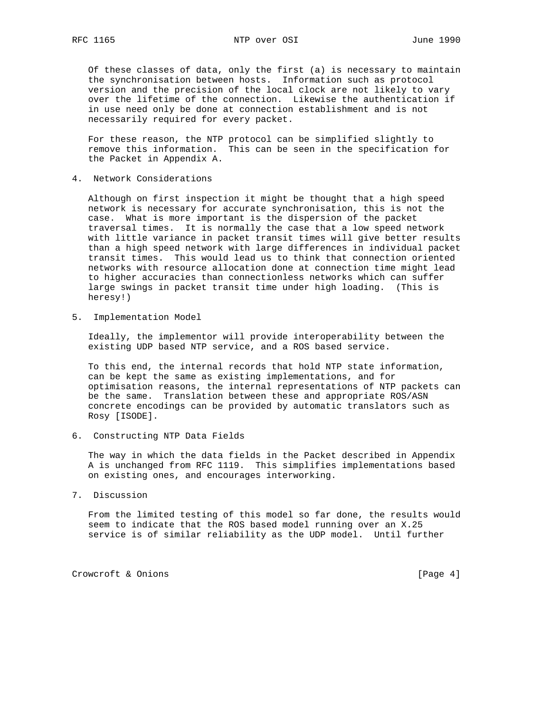Of these classes of data, only the first (a) is necessary to maintain the synchronisation between hosts. Information such as protocol version and the precision of the local clock are not likely to vary over the lifetime of the connection. Likewise the authentication if in use need only be done at connection establishment and is not necessarily required for every packet.

 For these reason, the NTP protocol can be simplified slightly to remove this information. This can be seen in the specification for the Packet in Appendix A.

4. Network Considerations

 Although on first inspection it might be thought that a high speed network is necessary for accurate synchronisation, this is not the case. What is more important is the dispersion of the packet traversal times. It is normally the case that a low speed network with little variance in packet transit times will give better results than a high speed network with large differences in individual packet transit times. This would lead us to think that connection oriented networks with resource allocation done at connection time might lead to higher accuracies than connectionless networks which can suffer large swings in packet transit time under high loading. (This is heresy!)

5. Implementation Model

 Ideally, the implementor will provide interoperability between the existing UDP based NTP service, and a ROS based service.

 To this end, the internal records that hold NTP state information, can be kept the same as existing implementations, and for optimisation reasons, the internal representations of NTP packets can be the same. Translation between these and appropriate ROS/ASN concrete encodings can be provided by automatic translators such as Rosy [ISODE].

6. Constructing NTP Data Fields

 The way in which the data fields in the Packet described in Appendix A is unchanged from RFC 1119. This simplifies implementations based on existing ones, and encourages interworking.

7. Discussion

 From the limited testing of this model so far done, the results would seem to indicate that the ROS based model running over an X.25 service is of similar reliability as the UDP model. Until further

Crowcroft & Onions [Page 4]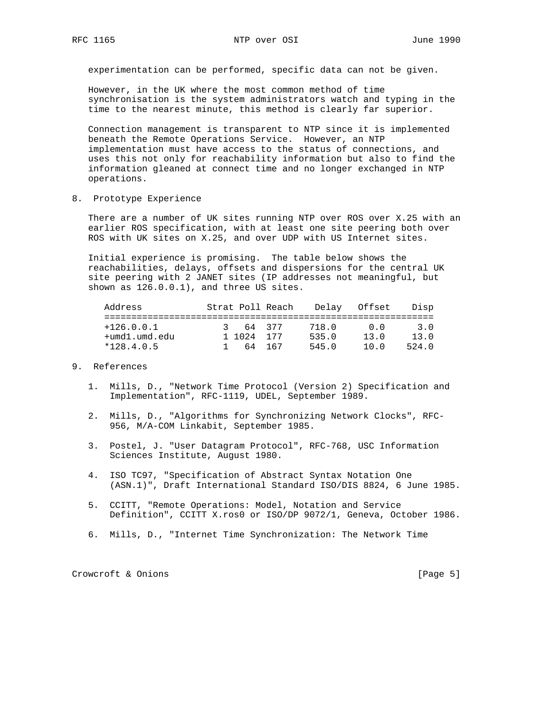experimentation can be performed, specific data can not be given.

 However, in the UK where the most common method of time synchronisation is the system administrators watch and typing in the time to the nearest minute, this method is clearly far superior.

 Connection management is transparent to NTP since it is implemented beneath the Remote Operations Service. However, an NTP implementation must have access to the status of connections, and uses this not only for reachability information but also to find the information gleaned at connect time and no longer exchanged in NTP operations.

8. Prototype Experience

 There are a number of UK sites running NTP over ROS over X.25 with an earlier ROS specification, with at least one site peering both over ROS with UK sites on X.25, and over UDP with US Internet sites.

 Initial experience is promising. The table below shows the reachabilities, delays, offsets and dispersions for the central UK site peering with 2 JANET sites (IP addresses not meaningful, but shown as 126.0.0.1), and three US sites.

| Address                       |            | Strat Poll Reach |                | Delav Offset | Disp          |
|-------------------------------|------------|------------------|----------------|--------------|---------------|
| $+126.0.0.1$                  | 3 64 377   |                  | 718.0          | n n          | 3.O           |
| +umd1.umd.edu<br>$*128.4.0.5$ | 1 1024 177 | 64 167           | 535.0<br>545.0 | 13.0<br>10 O | 13.0<br>524 O |

- 9. References
	- 1. Mills, D., "Network Time Protocol (Version 2) Specification and Implementation", RFC-1119, UDEL, September 1989.
	- 2. Mills, D., "Algorithms for Synchronizing Network Clocks", RFC- 956, M/A-COM Linkabit, September 1985.
	- 3. Postel, J. "User Datagram Protocol", RFC-768, USC Information Sciences Institute, August 1980.
	- 4. ISO TC97, "Specification of Abstract Syntax Notation One (ASN.1)", Draft International Standard ISO/DIS 8824, 6 June 1985.
	- 5. CCITT, "Remote Operations: Model, Notation and Service Definition", CCITT X.ros0 or ISO/DP 9072/1, Geneva, October 1986.
	- 6. Mills, D., "Internet Time Synchronization: The Network Time

Crowcroft & Onions [Page 5]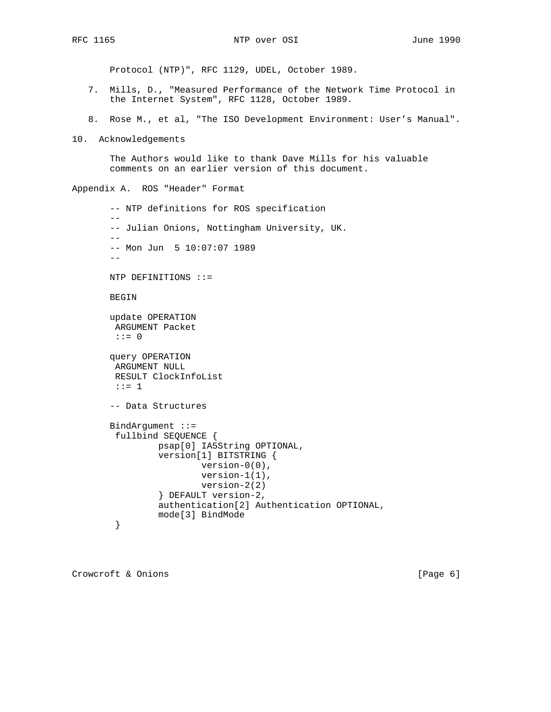Protocol (NTP)", RFC 1129, UDEL, October 1989.

- 7. Mills, D., "Measured Performance of the Network Time Protocol in the Internet System", RFC 1128, October 1989.
- 8. Rose M., et al, "The ISO Development Environment: User's Manual".
- 10. Acknowledgements

 The Authors would like to thank Dave Mills for his valuable comments on an earlier version of this document.

```
Appendix A. ROS "Header" Format
```

```
 -- NTP definitions for ROS specification
- -- Julian Onions, Nottingham University, UK.
- - -- Mon Jun 5 10:07:07 1989
-- NTP DEFINITIONS ::=
 BEGIN
 update OPERATION
 ARGUMENT Packet
 ::= 0
 query OPERATION
 ARGUMENT NULL
 RESULT ClockInfoList
 ::= 1
 -- Data Structures
 BindArgument ::=
  fullbind SEQUENCE {
          psap[0] IA5String OPTIONAL,
          version[1] BITSTRING {
                  version-0(0),
                  version-1(1),
                   version-2(2)
          } DEFAULT version-2,
          authentication[2] Authentication OPTIONAL,
          mode[3] BindMode
  }
```
Crowcroft & Onions [Page 6]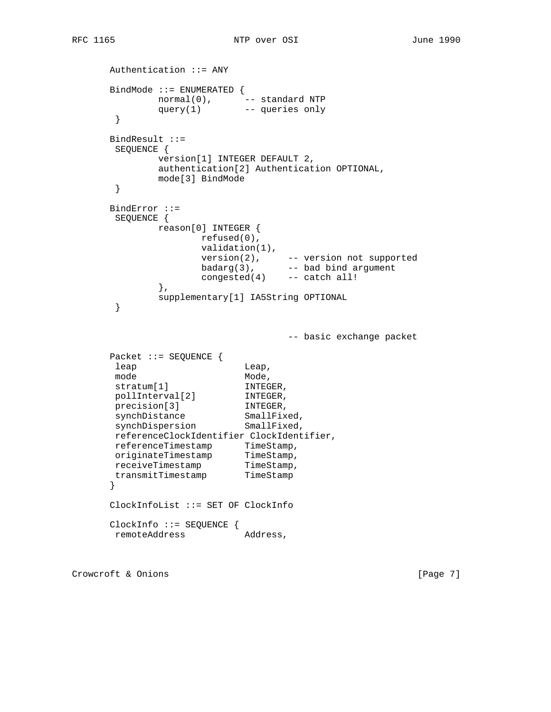```
 Authentication ::= ANY
      BindMode ::= ENUMERATED {
 normal(0), -- standard NTP
 query(1) -- queries only
       }
      BindResult ::=
       SEQUENCE {
            version[1] INTEGER DEFAULT 2,
            authentication[2] Authentication OPTIONAL,
            mode[3] BindMode
       }
      BindError ::=
       SEQUENCE {
            reason[0] INTEGER {
                  refused(0),
                   validation(1),
 version(2), -- version not supported
 badarg(3), -- bad bind argument
 congested(4) -- catch all!
             },
             supplementary[1] IA5String OPTIONAL
       }
                               -- basic exchange packet
      Packet ::= SEQUENCE {
     leap Leap,
mode Mode,
stratum[1] INTEGER,
      pollInterval[2] INTEGER,
     precision[3] INTEGER,
synchDistance SmallFixed,
synchDispersion SmallFixed,
      referenceClockIdentifier ClockIdentifier,
referenceTimestamp TimeStamp,
originateTimestamp TimeStamp,
receiveTimestamp TimeStamp,
 transmitTimestamp TimeStamp
      }
      ClockInfoList ::= SET OF ClockInfo
      ClockInfo ::= SEQUENCE {
      remoteAddress Address,
```
Crowcroft & Onions [Page 7]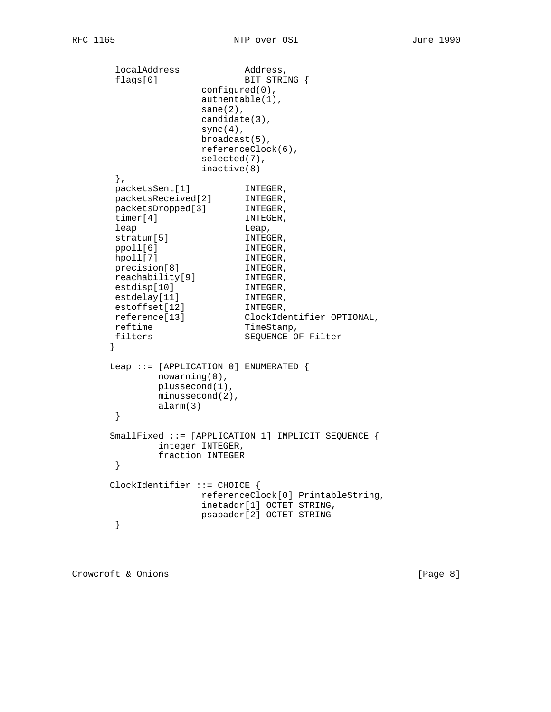```
localAddress Address,
      flags[0] BIT STRING {
                    configured(0),
                    authentable(1),
                   sane(2),
                    candidate(3),
                   sync(4),
                    broadcast(5),
                    referenceClock(6),
                    selected(7),
                    inactive(8)
       },
packetsSent[1] INTEGER,
 packetsReceived[2] INTEGER,
 packetsDropped[3] INTEGER,
timer[4] INTEGER,
      leap Leap,<br>stratum[5] Leap,<br>INTEGER,
      stratum[5] <br>stratum[5] INTEGER,<br>ppoll[6] INTEGER,
ppoll[6] INTEGER,
hpoll[7] INTEGER,
precision[8] INTEGER,
 reachability[9] INTEGER,
estdisp[10] INTEGER,
estdelay[11] INTEGER,
estoffset[12] INTEGER,
 reference[13] ClockIdentifier OPTIONAL,
reftime TimeStamp,
filters SEQUENCE OF Filter
      }
      Leap ::= [APPLICATION 0] ENUMERATED {
             nowarning(0),
             plussecond(1),
             minussecond(2),
             alarm(3)
       }
      SmallFixed ::= [APPLICATION 1] IMPLICIT SEQUENCE {
             integer INTEGER,
             fraction INTEGER
       }
      ClockIdentifier ::= CHOICE {
                    referenceClock[0] PrintableString,
                    inetaddr[1] OCTET STRING,
                    psapaddr[2] OCTET STRING
       }
```
Crowcroft & Onions [Page 8]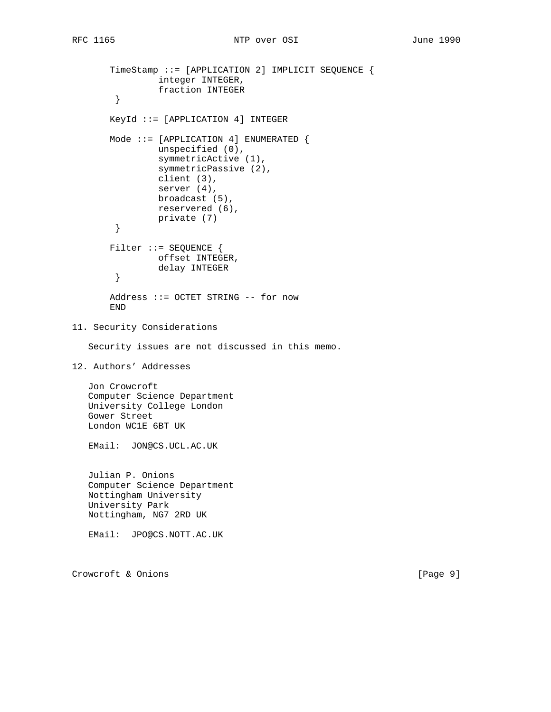```
 TimeStamp ::= [APPLICATION 2] IMPLICIT SEQUENCE {
                 integer INTEGER,
                 fraction INTEGER
         }
        KeyId ::= [APPLICATION 4] INTEGER
        Mode ::= [APPLICATION 4] ENUMERATED {
                 unspecified (0),
                 symmetricActive (1),
                 symmetricPassive (2),
                 client (3),
                 server (4),
                 broadcast (5),
                 reservered (6),
                 private (7)
         }
       Filter ::= SEQUENCE {
                offset INTEGER,
                 delay INTEGER
         }
        Address ::= OCTET STRING -- for now
        END
11. Security Considerations
    Security issues are not discussed in this memo.
12. Authors' Addresses
    Jon Crowcroft
    Computer Science Department
    University College London
    Gower Street
    London WC1E 6BT UK
    EMail: JON@CS.UCL.AC.UK
    Julian P. Onions
    Computer Science Department
    Nottingham University
    University Park
    Nottingham, NG7 2RD UK
    EMail: JPO@CS.NOTT.AC.UK
```
Crowcroft & Onions [Page 9]